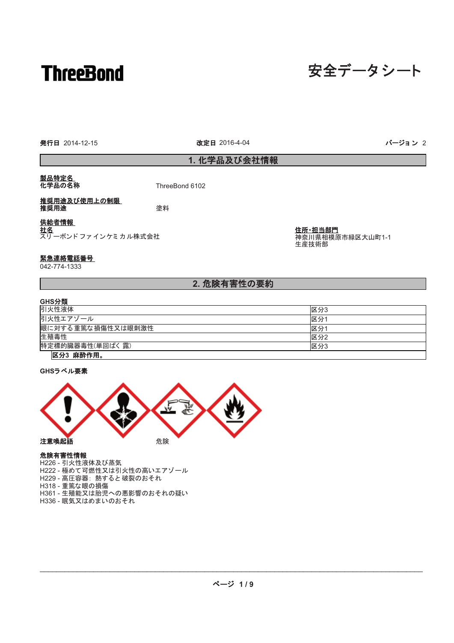# **ThreeBond**

# 安全データシート

発行日 2014-12-15 ろんごろ おおし おおし おおし 改定日 2016-4-04 みまい おおおおし アイ・エンジョン 2

改定日 2016-4-04

1. 化学品及び会社情報

# <u>製品特定名</u><br>化学品の名称

ThreeBond 6102

### 推奨用途及び使用上の制限 **推奨用途 高原 医心理**

# 供給者情報

社名 スリ 一ボンド ファ イン ケミ カ ル株式 会社 住所·担当部門 神奈川県相模原市緑区大山町1-1 生産技術部

# 緊急連絡電話番号

042-774-1333

# 2. 危険有害性の要約

| GHS分類             |     |
|-------------------|-----|
| 引火性液体             | 区分3 |
| 引火性エアゾール          | 区分  |
| 眼に対する重篤な損傷性又は眼刺激性 | 区分1 |
| 生殖毒性              | 区分2 |
| 特定標的臓器毒性(単回ばく露)   | 区分3 |
| 区分3 麻酔作用。         |     |

**GHSラベル要素** 



危険有害性情報 H226 - 引火性液体及び蒸気 ...\_\_。<br>H222 - 極めて可燃性又は引火性の高いエアゾール H229 - 高圧容器: 熱すると破裂のおそれ H318 - 重篤な眼の損傷 H361 - 生殖能又は胎児への悪影響のおそれの疑い H336 - 眠気又はめまいのおそれ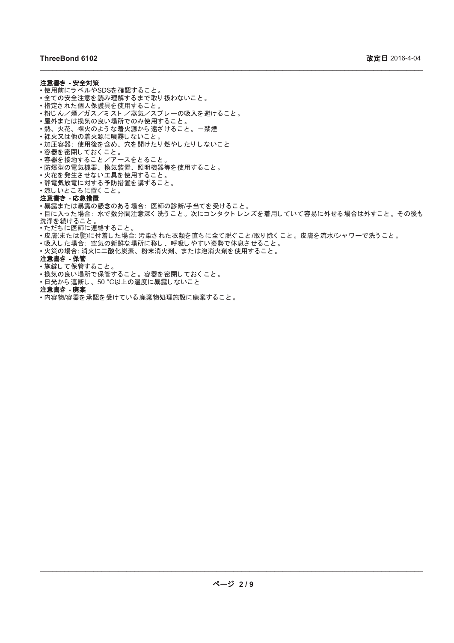### 注意書き - 安全対策

- 使用前にラベルやSDSを確認すること。
- •全ての安全注意を読み理解するまで取り扱わないこと。
- 指定された個人保護具を使用すること。
- •粉じん/煙/ガス/ミスト/蒸気/スプレーの吸入を避けること。
- •屋外または換気の良い場所でのみ使用すること。
- 熱、火花、裸火のような着火源から遠ざけること。一禁煙 •裸火又は他の着火源に噴霧しないこと。
- •加圧容器: 使用後を含め、穴を開けたり燃やしたりしないこと
- 容器を密閉しておくこと。
- 容器を接地すること /アースをとること。
- •防爆型の電気機器、換気装置、照明機器等を使用すること。
- 火花を発生させない工具を使用すること。
- •静電気放電に対する予防措置を講ずること。
- •涼しいところに置くこと。

### 注意書き - 応急措置

•暴露または暴露の懸念のある場合: 医師の診断/手当てを受けること。

•目に入った場合:水で数分間注意深く洗うこと。次にコンタクトレンズを着用していて容易に外せる場合は外すこと。その後も 洗浄を続けること。

\_\_\_\_\_\_\_\_\_\_\_\_\_\_\_\_\_\_\_\_\_\_\_\_\_\_\_\_\_\_\_\_\_\_\_\_\_\_\_\_\_\_\_\_\_\_\_\_\_\_\_\_\_\_\_\_\_\_\_\_\_\_\_\_\_\_\_\_\_\_\_\_\_\_\_\_\_\_\_\_\_\_\_\_\_\_\_\_\_\_\_\_\_

•ただちに医師に連絡すること。

- •皮膚(または髪)に付着した場合: 汚染された衣類を直ちに全て脱ぐこと/取り除くこと。皮膚を流水/シャワーで洗うこと。
- ・吸入した場合:空気の新鮮な場所に移し、呼吸しやすい姿勢で休息させること。
- 火災の場合: 消火に二酸化炭素、粉末消火剤、または泡消火剤を使用すること。

## 注意書き - 保管

- 施錠して保管すること。
- •換気の良い場所で保管すること。容器を密閉しておくこと。
- •日光から遮断し、50 ℃以上の温度に暴露しないこと
- 注意書き 廃棄
- 内容物/容器を承認を受けている廃棄物処理施設に廃棄すること。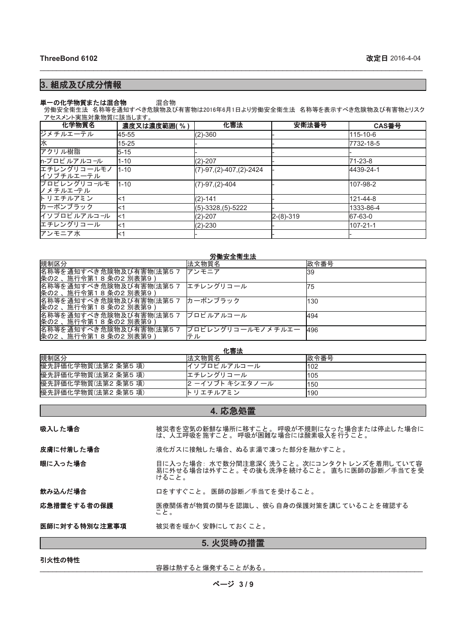# 3. 組成及び成分情報

#### 単一の化学物質または混合物 混合物

労働安全衛生法 名称等を通知すべき危険物及び有害物は2016年6月1日より労働安全衛生法 名称等を表示すべき危険物及び有害物とリスク アセスメント実施対象物質に該当します。

\_\_\_\_\_\_\_\_\_\_\_\_\_\_\_\_\_\_\_\_\_\_\_\_\_\_\_\_\_\_\_\_\_\_\_\_\_\_\_\_\_\_\_\_\_\_\_\_\_\_\_\_\_\_\_\_\_\_\_\_\_\_\_\_\_\_\_\_\_\_\_\_\_\_\_\_\_\_\_\_\_\_\_\_\_\_\_\_\_\_\_\_\_

| 化学物質名                    | 濃度又は濃度範囲(%) | 化審法                         | 安衛法番号       | CAS番号     |
|--------------------------|-------------|-----------------------------|-------------|-----------|
| ジメチルエーテル                 | 45-55       | $(2)-360$                   |             | 115-10-6  |
| 水                        | $15 - 25$   |                             |             | 7732-18-5 |
| アクリル樹脂                   | $5 - 15$    |                             |             |           |
| n-プロピルアルコール              | $1 - 10$    | $(2) - 207$                 |             | 71-23-8   |
| エチレングリコールモノ<br>イソブチルエーテル | $1 - 10$    | $(7)-97, (2)-407, (2)-2424$ |             | 4439-24-1 |
| プロピレングリコールモ<br>ノメチルエーテル  | $1 - 10$    | $(7)-97, (2)-404$           |             | 107-98-2  |
| トリエチルアミン                 | ∣<1         | $(2) - 141$                 |             | 121-44-8  |
| カーボンブラック                 | l<1         | $(5)-3328(5)-5222$          |             | 1333-86-4 |
| イソプロピルアルコール              | $\leq$ 1    | $(2)-207$                   | $2-(8)-319$ | 67-63-0   |
| エチレングリコール                | $\leq$ 1    | $(2) - 230$                 |             | 107-21-1  |
| アンモニア水                   | l<1         |                             |             |           |

### 労働安全衛生法

| 規制区分                                              | 法文物質名                   | 政令番号 |
|---------------------------------------------------|-------------------------|------|
| 名称等を通知すべき危険物及び有害物(法第57<br>条の2、<br>施行令第18条の2別表第9   | アンモニア                   | 139  |
| 名称等を通知すべき危険物及び有害物(法第57<br>条の2、<br>施行令第18条の2別表第9   | エチレングリコール               | 75   |
| 名称等を通知すべき危険物及び有害物(法第5 7<br>条の2 、施行令第1 8 条の2 別表第9) | <b> カーボンブラック</b>        | 130  |
| 名称等を通知すべき危険物及び有害物(法第57<br> 条の2、施行令第18条の2別表第9      | プロピルアルコール               | 494  |
| 名称等を通知すべき危険物及び有害物(法第5 7<br>条の2 、施行令第1 8 条の2 別表第9) | プロピレングリコールモノメチルエー<br>テル | 496  |

| 化審法                 |                 |      |  |
|---------------------|-----------------|------|--|
| 規制区分                | 法文物質名           | 政令番号 |  |
| 優先評価化学物質(法第2条第5項)   | イソプロピルアルコール     | l102 |  |
| 優先評価化学物質(法第2条第5項)   | エチレングリコール       | 1105 |  |
| 優先評価化学物質(法第2条第5項)   | 2 ーイソブト キシエタノール | l150 |  |
| 優先評価化学物質(法第2 条第5 項) | ト リエチルアミン       | 190  |  |

# 4. 応急処置

| 5. 火災時の措置     |                                                                                                |  |
|---------------|------------------------------------------------------------------------------------------------|--|
| 医師に対する特別な注意事項 | 被災者を暖かく安静にしておくこと。                                                                              |  |
| 応急措置をする者の保護   | 医療関係者が物質の関与を認識し、彼ら自身の保護対策を講じていることを確認する<br>こと。                                                  |  |
| 飲み込んだ場合       | 口をすすぐこと。 医師の診断/手当てを受けること。                                                                      |  |
| 眼に入った場合       | 目に入った場合:水で数分間注意深く洗うこと。次にコンタクトレンズを着用していて容<br>易に外せる場合は外すこと。その後も洗浄を続けること。 直ちに医師の診断/手当てを受<br>けること。 |  |
| 皮膚に付着した場合     | 液化ガスに接触した場合、ぬるま湯で凍った部分を融かすこと。                                                                  |  |
| 吸入した場合        | 被災者を空気の新鮮な場所に移すこと。 呼吸が不規則になった場合または停止した場合に<br>は、人工呼吸を施すこと。 呼吸が困難な場合には酸素吸入を行うこと。                 |  |

## 引火性の特性

ᐜჾ䛿⇕䛩䜛 䛸 ⇿Ⓨ䛩䜛 䛣 䛸 䛜䛒䜛 䚹 \_\_\_\_\_\_\_\_\_\_\_\_\_\_\_\_\_\_\_\_\_\_\_\_\_\_\_\_\_\_\_\_\_\_\_\_\_\_\_\_\_\_\_\_\_\_\_\_\_\_\_\_\_\_\_\_\_\_\_\_\_\_\_\_\_\_\_\_\_\_\_\_\_\_\_\_\_\_\_\_\_\_\_\_\_\_\_\_\_\_\_\_\_

䝨䞊䝆 **3 / 9**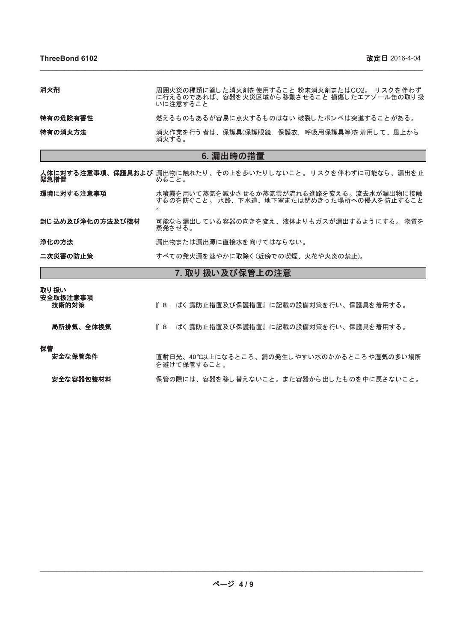| 消火剤      | 周囲火災の種類に適した消火剤を使用すること 粉末消火剤またはCO2。 リスクを伴わず<br>に行えるのであれば、容器を火災区域から移動させること 損傷したエアゾール缶の取り扱<br>いに注意すること |
|----------|-----------------------------------------------------------------------------------------------------|
| 特有の危険有害性 | 燃えるものもあるが容易に点火するものはない 破裂したボンベは突進することがある。                                                            |
| 特有の消火方法  | 消火作業を行う者は、保護具(保護眼鏡,保護衣,呼吸用保護具等)を着用して、風上から<br>消火する。                                                  |

\_\_\_\_\_\_\_\_\_\_\_\_\_\_\_\_\_\_\_\_\_\_\_\_\_\_\_\_\_\_\_\_\_\_\_\_\_\_\_\_\_\_\_\_\_\_\_\_\_\_\_\_\_\_\_\_\_\_\_\_\_\_\_\_\_\_\_\_\_\_\_\_\_\_\_\_\_\_\_\_\_\_\_\_\_\_\_\_\_\_\_\_\_

# 6. 漏出時の措置

| 7 取り扱い及び保管上の注意   |                                                                                       |  |
|------------------|---------------------------------------------------------------------------------------|--|
| 二次災害の防止策         | すべての発火源を速やかに取除く(近傍での喫煙、火花や火炎の禁止)。                                                     |  |
| 浄化の方法            | 漏出物または漏出源に直接水を向けてはならない。                                                               |  |
| 封じ 込め及び浄化の方法及び機材 | 可能なら漏出している容器の向きを変え、液体よりもガスが漏出するようにする。 物質を<br>蒸発させる。                                   |  |
| 環境に対する注意事項       | 水噴霧を用いて蒸気を減少させるか蒸気雲が流れる進路を変える。流去水が漏出物に接触<br>するのを防ぐこと。 水路、下水道、地下室または閉めきった場所への侵入を防止すること |  |
| 緊急措置             | <b>人体に対する注意事項、保護具および</b> 漏出物に触れたり、その上を歩いたりしないこと。 リスクを伴わずに可能なら、漏出を止<br>めること。           |  |

# <u>7. AXソ 1次い 次 い ) 木 旨 エ い /エ 忌</u>

| 取り 扱い<br>安全取扱注意事項<br>技術的対策 | 『8.ばく露防止措置及び保護措置』に記載の設備対策を行い、保護具を着用する。                    |
|----------------------------|-----------------------------------------------------------|
| 局所排気、全体換気                  | 『 8. ばく 露防止措置及び保護措置』に記載の設備対策を行い、保護具を着用する。                 |
| 保管<br>安全な保管条件              | 直射日光、40°C以上になるところ、錆の発生しやすい水のかかるところや湿気の多い場所<br>を避けて保管すること。 |
| 安全な容器包装材料                  | 保管の際には、容器を移し替えないこと。また容器から出したものを中に戻さないこと。                  |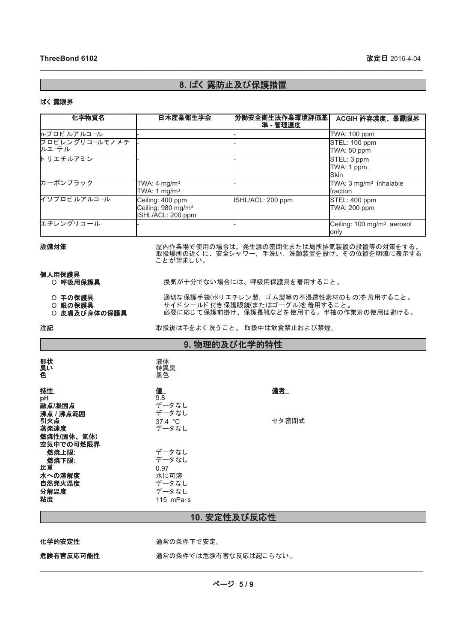# 8. ばく 露防止及び保護措置

\_\_\_\_\_\_\_\_\_\_\_\_\_\_\_\_\_\_\_\_\_\_\_\_\_\_\_\_\_\_\_\_\_\_\_\_\_\_\_\_\_\_\_\_\_\_\_\_\_\_\_\_\_\_\_\_\_\_\_\_\_\_\_\_\_\_\_\_\_\_\_\_\_\_\_\_\_\_\_\_\_\_\_\_\_\_\_\_\_\_\_\_\_

## ばく 露限界

| 化学物質名                   | 日本産業衛生学会                                                                | 労働安全衛生法作業環境評価基<br>準 - 管理濃度 | ACGIH 許容濃度、暴露限界                                 |
|-------------------------|-------------------------------------------------------------------------|----------------------------|-------------------------------------------------|
| n-プロピルアルコール             |                                                                         |                            | TWA: 100 ppm                                    |
| プロピレングリコールモノメチ<br>ルエーテル |                                                                         |                            | STEL: 100 ppm<br>TWA: 50 ppm                    |
| トリエチルアミン                |                                                                         |                            | STEL: 3 ppm<br>TWA: 1 ppm<br><b>Skin</b>        |
| カーボンブラック                | TWA: $4 \text{ mg/m}^3$<br>TWA: 1 $mq/m3$                               |                            | TWA: 3 mg/m <sup>3</sup> inhalable<br>fraction  |
| イソプロピルアルコール             | Ceiling: 400 ppm<br>Ceiling: 980 mg/m <sup>3</sup><br>ISHL/ACL: 200 ppm | ISHL/ACL: 200 ppm          | STEL: 400 ppm<br><b>TWA: 200 ppm</b>            |
| エチレングリコール               |                                                                         |                            | Ceiling: 100 mg/m <sup>3</sup> aerosol<br>lonly |

設備対策 屋内作業場で使用の場合は、発生源の密閉化または局所排気装置の設置等の対策をする。 取扱場所の近くに、安全シャワー,手洗い,洗顔装置を設け、その位置を明瞭に表示する ことが望ましい。

個人用保護具<br> O 呼吸用保護具

- 
- 
- 

O **手の保護具 適**切な保護手袋(ポリエチレン製,ゴム製等の不浸透性素材のもの)を着用すること。<br>O **眼の保護具 サ**イドシールド付き保護眼鏡(またはゴーグル)を着用すること。<br>O **皮膚及び身体の保護具** 必要に応じて保護前掛け、保護長靴などを使用する。半袖の作業着の使用は避ける。 O **眼の保護具** サイド シールド 付き 保護眼鏡(またはゴーグル)を着用すること 。 O **皮膚及び身体の保護具** 必要に応じて保護前掛け、保護長靴などを使用する。半袖の作業着の使用は避ける。

### 注記 ろんご ろんご おおおく あいぼん さんぶん 取扱のない 取扱中は飲食禁止および禁煙。

換気が十分でない場合には、呼吸用保護具を着用すること。

| 9. 物理的及び化学的特性 |  |
|---------------|--|
|---------------|--|

| 形状<br>臭い                               | 液体<br>特異臭<br>黒色            |       |
|----------------------------------------|----------------------------|-------|
| 特性<br>pH<br>融点/凝固点                     | 值<br>9.8<br>データなし          | 備考    |
| 沸点 / 沸点範囲<br>引火点<br>蒸発速度<br>燃焼性(固体、気体) | データなし<br>37.4 °C<br>データなし  | セタ密閉式 |
| 空気中での可燃限界<br>燃焼上限:<br>燃焼下限:            | データなし<br>データなし             |       |
| 比重<br>水への溶解度<br>自然発火温度                 | 0.97<br>水に可溶<br>データなし      |       |
| 分解温度<br>粘度                             | データなし<br>115 mPa $\cdot$ s |       |

# 10. 安定性及び反応性

化学的安定性 オンチン 通常の条件下で安定。

危険有害反応可能性 オンチン 通常の条件では危険有害な反応は起こらない。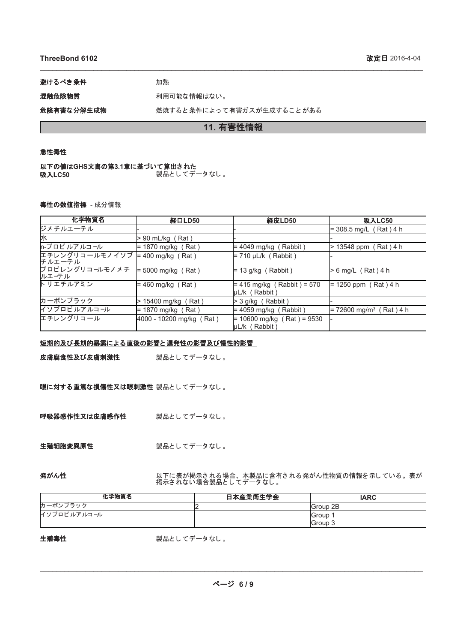## **ThreeBond 6102**

避けるべき条件 みんじょう 加熱

混触危険物質 おおおろ 利用可能な情報はない。

危険有害な分解生成物 おろん 燃焼すると条件によって有害ガスが生成することがある

# 11. 有害性情報

\_\_\_\_\_\_\_\_\_\_\_\_\_\_\_\_\_\_\_\_\_\_\_\_\_\_\_\_\_\_\_\_\_\_\_\_\_\_\_\_\_\_\_\_\_\_\_\_\_\_\_\_\_\_\_\_\_\_\_\_\_\_\_\_\_\_\_\_\_\_\_\_\_\_\_\_\_\_\_\_\_\_\_\_\_\_\_\_\_\_\_\_\_

#### 急性毒性

以下の値はGHS文書の第3.1章に基づいて算出された **吸入LC50 製品としてデータなし。** 

# 毒性の数値指標 - 成分情報

| 化学物質名                    | 経口LD50                   | 経皮LD50                                        | 吸入LC50                                |
|--------------------------|--------------------------|-----------------------------------------------|---------------------------------------|
| ジメチルエーテル                 |                          |                                               | $=$ 308.5 mg/L (Rat) 4 h              |
| 氶                        | > 90 mL/kg (Rat)         |                                               |                                       |
| n-プロピルアルコール              | $= 1870$ mg/kg (Rat)     | $= 4049$ mg/kg (Rabbit)                       | > 13548 ppm (Rat) 4 h                 |
| エチレングリコールモノイソブ<br>チルエーテル | $= 400$ mg/kg (Rat)      | $= 710 \mu L/k$ (Rabbit)                      |                                       |
| プロピレングリコールモノメチ<br>ルエーテル  | $= 5000$ mg/kg (Rat)     | $= 13$ g/kg (Rabbit)                          | $> 6$ mg/L (Rat) 4 h                  |
| トリエチルアミン                 | $=$ 460 mg/kg (Rat)      | $= 415$ mg/kg (Rabbit) = 570<br>µL/k (Rabbit) | $= 1250$ ppm (Rat) 4 h                |
| カーボンブラック                 | 15400 mg/kg (Rat)        | > 3 g/kg (Rabbit)                             |                                       |
| イソプロピルアルコール              | $= 1870$ mg/kg (Rat)     | $= 4059$ mg/kg (Rabbit)                       | $= 72600$ mg/m <sup>3</sup> (Rat) 4 h |
| エチレングリコール                | 4000 - 10200 mg/kg (Rat) | $= 10600$ mg/kg (Rat) = 9530<br>µL/k (Rabbit) |                                       |

#### 短期的及び長期的暴露による直後の影響と遅発性の影響及び慢性的影響

皮膚腐食性及び皮膚刺激性 製品としてデータなし。

眼に対する重篤な損傷性又は眼刺激性 製品としてデータなし。

呼吸器感作性又は皮膚感作性 製品としてデータなし。

生殖細胞変異原性 みちょう 製品としてデータなし。

発がん性 以下に表が掲示される場合、本製品に含有される発がん性物質の情報を示している。表が 掲示されない場合製品としてデータなし。

| 化学物質名       | 日本産業衛生学会 | <b>IARC</b>      |
|-------------|----------|------------------|
| カーボンブラック    |          | <b>IGroup 2B</b> |
| イソプロピルアルコール |          | <b>IGroup</b>    |
|             |          | Group 3          |

# 生殖毒性

製品としてデータなし。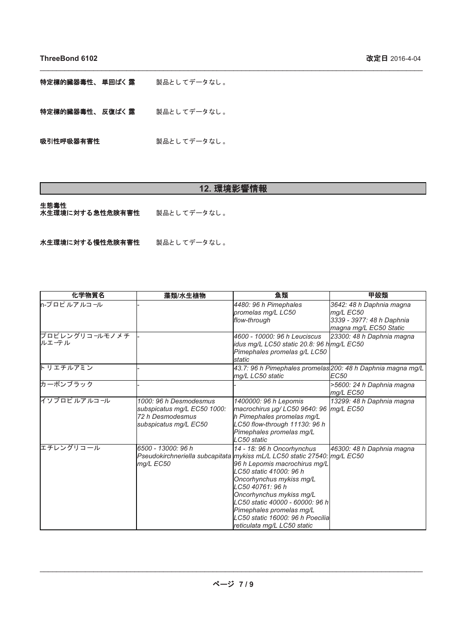特定標的臓器毒性、単回ばく露 製品としてデータなし。

特定標的臓器毒性、反復ばく露 製品としてデータなし。

吸引性呼吸器有害性 みちょう 製品としてデータなし。

# 12. 環境影響情報

\_\_\_\_\_\_\_\_\_\_\_\_\_\_\_\_\_\_\_\_\_\_\_\_\_\_\_\_\_\_\_\_\_\_\_\_\_\_\_\_\_\_\_\_\_\_\_\_\_\_\_\_\_\_\_\_\_\_\_\_\_\_\_\_\_\_\_\_\_\_\_\_\_\_\_\_\_\_\_\_\_\_\_\_\_\_\_\_\_\_\_\_\_

生態毒性

□□↓↓↓□

水生環境に対する慢性危険有害性 製品としてデータなし。

| 化学物質名                            | 藻類/水生植物                                                                                            | 魚類                                                                                                                                                                                                                                                                                                                                                                               | 甲殻類                                                                                          |
|----------------------------------|----------------------------------------------------------------------------------------------------|----------------------------------------------------------------------------------------------------------------------------------------------------------------------------------------------------------------------------------------------------------------------------------------------------------------------------------------------------------------------------------|----------------------------------------------------------------------------------------------|
| ln-プロピルアルコ <i>ー</i> ル            |                                                                                                    | 4480: 96 h Pimephales<br>promelas mg/L LC50<br>flow-throuah                                                                                                                                                                                                                                                                                                                      | 3642: 48 h Daphnia magna<br>mg/L EC50<br>3339 - 3977: 48 h Daphnia<br>magna mg/L EC50 Static |
| プロピレングリコ <i>ー</i> ルモノメチ<br>ルエーテル |                                                                                                    | 4600 - 10000: 96 h Leuciscus<br>idus mg/L LC50 static 20.8: 96 h mg/L EC50<br>Pimephales promelas g/L LC50<br>static                                                                                                                                                                                                                                                             | 23300: 48 h Daphnia magna                                                                    |
| ト リエチルアミン                        |                                                                                                    | 43.7: 96 h Pimephales promelas 200: 48 h Daphnia magna mg/L<br>mg/L LC50 static                                                                                                                                                                                                                                                                                                  | <b>EC50</b>                                                                                  |
| カーボンブラック                         |                                                                                                    |                                                                                                                                                                                                                                                                                                                                                                                  | >5600: 24 h Daphnia magna<br>mg/L EC50                                                       |
| イソプロピルアルコール                      | 1000: 96 h Desmodesmus<br>subspicatus mg/L EC50 1000:<br>72 h Desmodesmus<br>subspicatus mg/L EC50 | 1400000: 96 h Lepomis<br>macrochirus µg/ LC50 9640: 96   mg/L EC50<br>h Pimephales promelas mg/L<br>LC50 flow-through 11130: 96 h<br>Pimephales promelas mg/L<br>LC50 static                                                                                                                                                                                                     | 13299: 48 h Daphnia magna                                                                    |
| エチレングリコール                        | 6500 - 13000: 96 h<br>mg/L EC50                                                                    | 14 - 18: 96 h Oncorhynchus<br>Pseudokirchneriella subcapitata mykiss mL/L LC50 static 27540: mg/L EC50<br>96 h Lepomis macrochirus mg/L<br>LC50 static 41000: 96 h<br>Oncorhynchus mykiss mg/L<br>LC50 40761: 96 h<br>Oncorhynchus mykiss mg/L<br>LC50 static 40000 - 60000: 96 h<br>Pimephales promelas mg/L<br>LC50 static 16000: 96 h Poecilia<br>reticulata mg/L LC50 static | 46300: 48 h Daphnia magna                                                                    |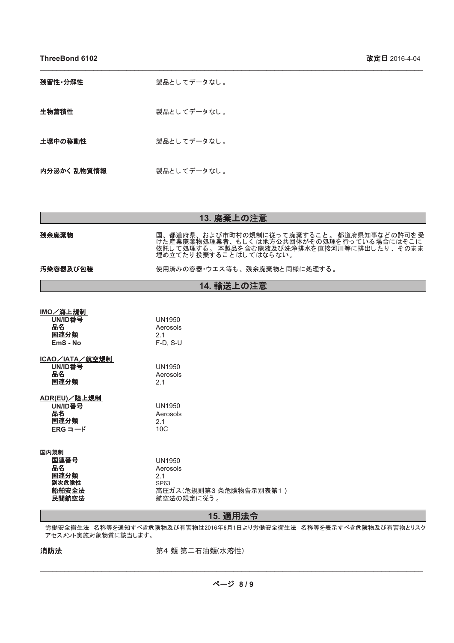**ThreeBond 6102** 2016-4-04

| 残留性·分解性     | 製品としてデータなし。 |
|-------------|-------------|
| 生物蓄積性       | 製品としてデータなし。 |
| 土壌中の移動性     | 製品としてデータなし。 |
| 内分泌かく 乱物質情報 | 製品としてデータなし。 |

| 13. 廃棄上の注意                                                            |                                                                                                                                                        |  |  |  |
|-----------------------------------------------------------------------|--------------------------------------------------------------------------------------------------------------------------------------------------------|--|--|--|
| 残余廃棄物                                                                 | 国、都道府県、および市町村の規制に従って廃棄すること。 都道府県知事などの許可を受けた産業廃棄物処理業者、もしくは地方公共団体がその処理を行っている場合にはそこに<br>けた産業廃棄物処理業者、もしくは地方公共団体がその処理を行っている場合にはそこに<br>埋め立てたり投棄することはしてはならない。 |  |  |  |
| 汚染容器及び包装                                                              | 使用済みの容器・ウエス等も、残余廃棄物と同様に処理する。                                                                                                                           |  |  |  |
| 14. 輸送上の注意                                                            |                                                                                                                                                        |  |  |  |
|                                                                       |                                                                                                                                                        |  |  |  |
| IMO/海上規制<br>UN/ID番号<br>品名<br>国連分類<br>EmS - No                         | <b>UN1950</b><br>Aerosols<br>2.1<br>$F-D$ , S-U                                                                                                        |  |  |  |
| ICAO/IATA/航空規制<br>UN/ID番号<br>品名<br>国連分類                               | <b>UN1950</b><br>Aerosols<br>2.1                                                                                                                       |  |  |  |
| ADR(EU)/陸上規制<br>UN/ID番号<br>品名<br>国連分類<br>$ERG \sqsupset$ <sup>"</sup> | <b>UN1950</b><br>Aerosols<br>2.1<br>10 <sub>C</sub>                                                                                                    |  |  |  |
| 国内規制<br>国連番号<br>品名<br>国連分類<br>副次危険性<br>船舶安全法<br>民間航空法                 | <b>UN1950</b><br>Aerosols<br>2.1<br>SP63<br>高圧ガス(危規則第3条危険物告示別表第1)<br>航空法の規定に従う。                                                                        |  |  |  |

\_\_\_\_\_\_\_\_\_\_\_\_\_\_\_\_\_\_\_\_\_\_\_\_\_\_\_\_\_\_\_\_\_\_\_\_\_\_\_\_\_\_\_\_\_\_\_\_\_\_\_\_\_\_\_\_\_\_\_\_\_\_\_\_\_\_\_\_\_\_\_\_\_\_\_\_\_\_\_\_\_\_\_\_\_\_\_\_\_\_\_\_\_

# 15. 適用法令

労働安全衛生法 名称等を通知すべき危険物及び有害物は2016年6月1日より労働安全衛生法 名称等を表示すべき危険物及び有害物とリスク アセスメント実施対象物質に該当します。

# 消防法

第4 類 第二石油類(水溶性)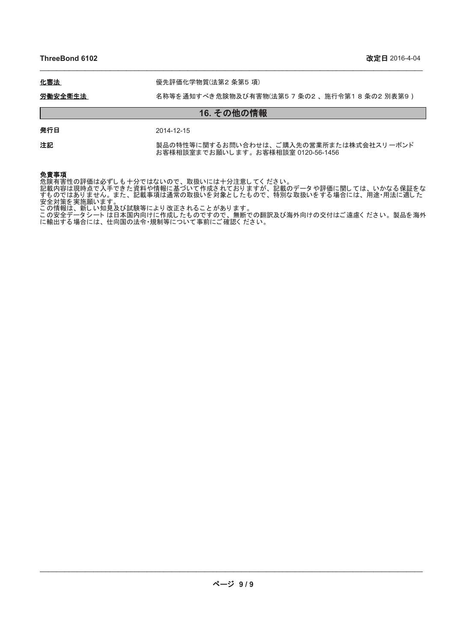**ThreeBond 6102** 2016-4-04

# 化審法 まんない キング 優先評価化学物質(法第2条第5項)

### 労働安全衛生法 ろわき 名称等を通知すべき危険物及び有害物(法第5 7 条の2 、施行令第1 8 条の2 別表第9 )

\_\_\_\_\_\_\_\_\_\_\_\_\_\_\_\_\_\_\_\_\_\_\_\_\_\_\_\_\_\_\_\_\_\_\_\_\_\_\_\_\_\_\_\_\_\_\_\_\_\_\_\_\_\_\_\_\_\_\_\_\_\_\_\_\_\_\_\_\_\_\_\_\_\_\_\_\_\_\_\_\_\_\_\_\_\_\_\_\_\_\_\_\_

# 16. その他の情報

**発行日** 2014-12-15

注記 みらん 製品の特性等に関するお問い合わせは、ご購入先の営業所または株式会社スリーボンド お客様相談室までお願いします。お客様相談室 0120-56-1456

# 免責事項

危険有害性の評価は必ずしも十分ではないので、取扱いには十分注意してください。 記載内容は現時点で入手できた資料や情報に基づいて作成されておりますが、記載のデータや評価に関しては、いかなる保証をな すものではありません。また、記載事項は通常の取扱いを対象としたもので、特別な取扱いをする場合には、用途・用法に適した 安全対策を実施願います。

この情報は、新しい知見及び試験等により改正されることがあります。

この安全データシート は日本国内向けに作成したものですので、無断での翻訳及び海外向けの交付はご遠慮ください。製品を海外 に輸出する場合には、仕向国の法令・規制等について事前にご確認ください。